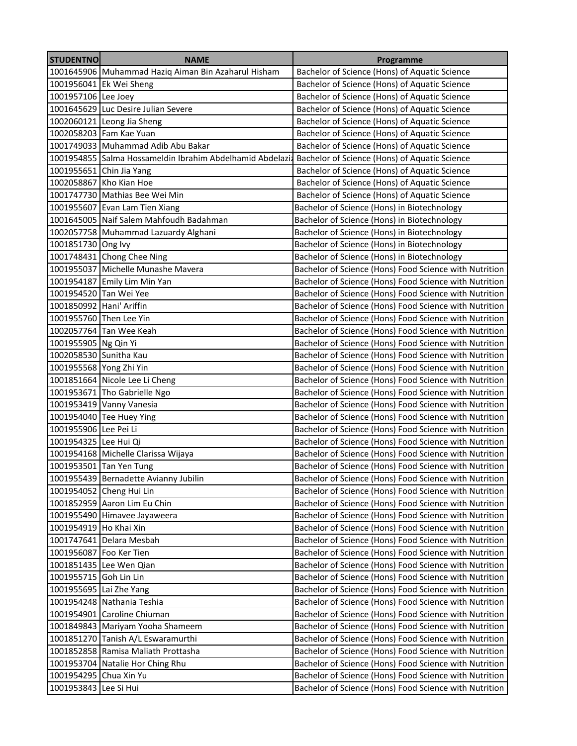| <b>STUDENTNO</b>         | <b>NAME</b>                                                                                             | Programme                                              |
|--------------------------|---------------------------------------------------------------------------------------------------------|--------------------------------------------------------|
|                          | 1001645906 Muhammad Haziq Aiman Bin Azaharul Hisham                                                     | Bachelor of Science (Hons) of Aquatic Science          |
|                          | 1001956041 Ek Wei Sheng                                                                                 | Bachelor of Science (Hons) of Aquatic Science          |
| 1001957106 Lee Joey      |                                                                                                         | Bachelor of Science (Hons) of Aquatic Science          |
|                          | 1001645629 Luc Desire Julian Severe                                                                     | Bachelor of Science (Hons) of Aquatic Science          |
|                          | 1002060121 Leong Jia Sheng                                                                              | Bachelor of Science (Hons) of Aquatic Science          |
|                          | 1002058203 Fam Kae Yuan                                                                                 | Bachelor of Science (Hons) of Aquatic Science          |
|                          | 1001749033 Muhammad Adib Abu Bakar                                                                      | Bachelor of Science (Hons) of Aquatic Science          |
|                          | 1001954855 Salma Hossameldin Ibrahim Abdelhamid Abdelazi: Bachelor of Science (Hons) of Aquatic Science |                                                        |
|                          | 1001955651 Chin Jia Yang                                                                                | Bachelor of Science (Hons) of Aquatic Science          |
|                          | 1002058867 Kho Kian Hoe                                                                                 | Bachelor of Science (Hons) of Aquatic Science          |
|                          | 1001747730 Mathias Bee Wei Min                                                                          | Bachelor of Science (Hons) of Aquatic Science          |
|                          | 1001955607 Evan Lam Tien Xiang                                                                          | Bachelor of Science (Hons) in Biotechnology            |
|                          | 1001645005 Naif Salem Mahfoudh Badahman                                                                 | Bachelor of Science (Hons) in Biotechnology            |
|                          | 1002057758 Muhammad Lazuardy Alghani                                                                    | Bachelor of Science (Hons) in Biotechnology            |
| 1001851730 Ong Ivy       |                                                                                                         | Bachelor of Science (Hons) in Biotechnology            |
|                          | 1001748431 Chong Chee Ning                                                                              | Bachelor of Science (Hons) in Biotechnology            |
|                          | 1001955037 Michelle Munashe Mavera                                                                      | Bachelor of Science (Hons) Food Science with Nutrition |
|                          | 1001954187 Emily Lim Min Yan                                                                            | Bachelor of Science (Hons) Food Science with Nutrition |
| 1001954520 Tan Wei Yee   |                                                                                                         | Bachelor of Science (Hons) Food Science with Nutrition |
| 1001850992 Hani' Ariffin |                                                                                                         | Bachelor of Science (Hons) Food Science with Nutrition |
|                          | 1001955760 Then Lee Yin                                                                                 | Bachelor of Science (Hons) Food Science with Nutrition |
|                          | 1002057764 Tan Wee Keah                                                                                 | Bachelor of Science (Hons) Food Science with Nutrition |
| 1001955905 Ng Qin Yi     |                                                                                                         | Bachelor of Science (Hons) Food Science with Nutrition |
| 1002058530 Sunitha Kau   |                                                                                                         | Bachelor of Science (Hons) Food Science with Nutrition |
| 1001955568 Yong Zhi Yin  |                                                                                                         | Bachelor of Science (Hons) Food Science with Nutrition |
|                          | 1001851664 Nicole Lee Li Cheng                                                                          | Bachelor of Science (Hons) Food Science with Nutrition |
|                          | 1001953671 Tho Gabrielle Ngo                                                                            | Bachelor of Science (Hons) Food Science with Nutrition |
|                          | 1001953419 Vanny Vanesia                                                                                | Bachelor of Science (Hons) Food Science with Nutrition |
|                          | 1001954040 Tee Huey Ying                                                                                | Bachelor of Science (Hons) Food Science with Nutrition |
| 1001955906 Lee Pei Li    |                                                                                                         | Bachelor of Science (Hons) Food Science with Nutrition |
| 1001954325 Lee Hui Qi    |                                                                                                         | Bachelor of Science (Hons) Food Science with Nutrition |
|                          | 1001954168 Michelle Clarissa Wijaya                                                                     | Bachelor of Science (Hons) Food Science with Nutrition |
|                          | 1001953501 Tan Yen Tung                                                                                 | Bachelor of Science (Hons) Food Science with Nutrition |
|                          | 1001955439 Bernadette Avianny Jubilin                                                                   | Bachelor of Science (Hons) Food Science with Nutrition |
|                          | 1001954052 Cheng Hui Lin                                                                                | Bachelor of Science (Hons) Food Science with Nutrition |
|                          | 1001852959 Aaron Lim Eu Chin                                                                            | Bachelor of Science (Hons) Food Science with Nutrition |
|                          | 1001955490 Himavee Jayaweera                                                                            | Bachelor of Science (Hons) Food Science with Nutrition |
| 1001954919 Ho Khai Xin   |                                                                                                         | Bachelor of Science (Hons) Food Science with Nutrition |
|                          | 1001747641 Delara Mesbah                                                                                | Bachelor of Science (Hons) Food Science with Nutrition |
| 1001956087 Foo Ker Tien  |                                                                                                         | Bachelor of Science (Hons) Food Science with Nutrition |
|                          | 1001851435 Lee Wen Qian                                                                                 | Bachelor of Science (Hons) Food Science with Nutrition |
| 1001955715 Goh Lin Lin   |                                                                                                         | Bachelor of Science (Hons) Food Science with Nutrition |
| 1001955695 Lai Zhe Yang  |                                                                                                         | Bachelor of Science (Hons) Food Science with Nutrition |
|                          | 1001954248 Nathania Teshia                                                                              | Bachelor of Science (Hons) Food Science with Nutrition |
|                          | 1001954901 Caroline Chiuman                                                                             | Bachelor of Science (Hons) Food Science with Nutrition |
|                          | 1001849843 Mariyam Yooha Shameem                                                                        | Bachelor of Science (Hons) Food Science with Nutrition |
|                          | 1001851270 Tanish A/L Eswaramurthi                                                                      | Bachelor of Science (Hons) Food Science with Nutrition |
|                          | 1001852858 Ramisa Maliath Prottasha                                                                     | Bachelor of Science (Hons) Food Science with Nutrition |
|                          | 1001953704 Natalie Hor Ching Rhu                                                                        | Bachelor of Science (Hons) Food Science with Nutrition |
| 1001954295 Chua Xin Yu   |                                                                                                         | Bachelor of Science (Hons) Food Science with Nutrition |
| 1001953843               | Lee Si Hui                                                                                              | Bachelor of Science (Hons) Food Science with Nutrition |